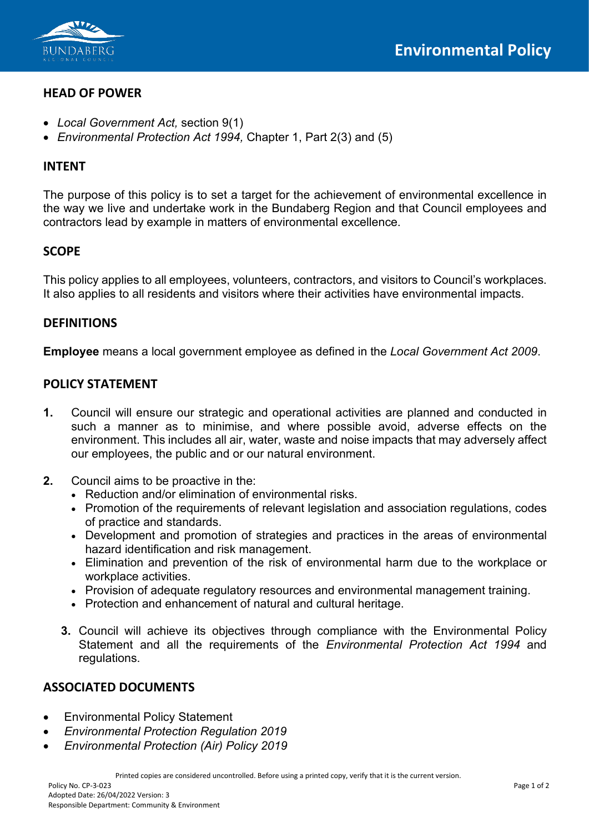



### **HEAD OF POWER**

- *Local Government Act,* section 9(1)
- *Environmental Protection Act 1994,* Chapter 1, Part 2(3) and (5)

#### **INTENT**

The purpose of this policy is to set a target for the achievement of environmental excellence in the way we live and undertake work in the Bundaberg Region and that Council employees and contractors lead by example in matters of environmental excellence.

#### **SCOPE**

This policy applies to all employees, volunteers, contractors, and visitors to Council's workplaces. It also applies to all residents and visitors where their activities have environmental impacts.

#### **DEFINITIONS**

**Employee** means a local government employee as defined in the *Local Government Act 2009*.

#### **POLICY STATEMENT**

- **1.** Council will ensure our strategic and operational activities are planned and conducted in such a manner as to minimise, and where possible avoid, adverse effects on the environment. This includes all air, water, waste and noise impacts that may adversely affect our employees, the public and or our natural environment.
- **2.** Council aims to be proactive in the:
	- Reduction and/or elimination of environmental risks.
	- Promotion of the requirements of relevant legislation and association regulations, codes of practice and standards.
	- Development and promotion of strategies and practices in the areas of environmental hazard identification and risk management.
	- Elimination and prevention of the risk of environmental harm due to the workplace or workplace activities.
	- Provision of adequate regulatory resources and environmental management training.
	- Protection and enhancement of natural and cultural heritage.
	- **3.** Council will achieve its objectives through compliance with the Environmental Policy Statement and all the requirements of the *Environmental Protection Act 1994* and regulations.

### **ASSOCIATED DOCUMENTS**

- Environmental Policy Statement
- *Environmental Protection Regulation 2019*
- *Environmental Protection (Air) Policy 2019*